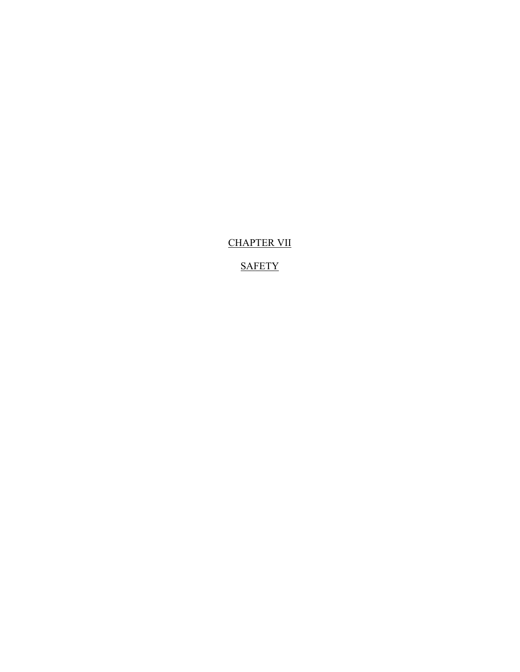CHAPTER VII

**SAFETY**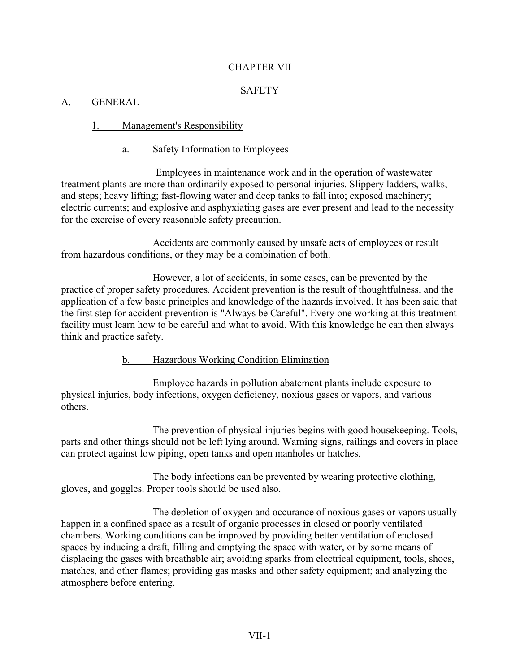### CHAPTER VII

## **SAFETY**

A. GENERAL

### 1. Management's Responsibility

### a. Safety Information to Employees

Employees in maintenance work and in the operation of wastewater treatment plants are more than ordinarily exposed to personal injuries. Slippery ladders, walks, and steps; heavy lifting; fast-flowing water and deep tanks to fall into; exposed machinery; electric currents; and explosive and asphyxiating gases are ever present and lead to the necessity for the exercise of every reasonable safety precaution.

Accidents are commonly caused by unsafe acts of employees or result from hazardous conditions, or they may be a combination of both.

However, a lot of accidents, in some cases, can be prevented by the practice of proper safety procedures. Accident prevention is the result of thoughtfulness, and the application of a few basic principles and knowledge of the hazards involved. It has been said that the first step for accident prevention is "Always be Careful". Every one working at this treatment facility must learn how to be careful and what to avoid. With this knowledge he can then always think and practice safety.

#### b. Hazardous Working Condition Elimination

Employee hazards in pollution abatement plants include exposure to physical injuries, body infections, oxygen deficiency, noxious gases or vapors, and various others.

The prevention of physical injuries begins with good housekeeping. Tools, parts and other things should not be left lying around. Warning signs, railings and covers in place can protect against low piping, open tanks and open manholes or hatches.

The body infections can be prevented by wearing protective clothing, gloves, and goggles. Proper tools should be used also.

The depletion of oxygen and occurance of noxious gases or vapors usually happen in a confined space as a result of organic processes in closed or poorly ventilated chambers. Working conditions can be improved by providing better ventilation of enclosed spaces by inducing a draft, filling and emptying the space with water, or by some means of displacing the gases with breathable air; avoiding sparks from electrical equipment, tools, shoes, matches, and other flames; providing gas masks and other safety equipment; and analyzing the atmosphere before entering.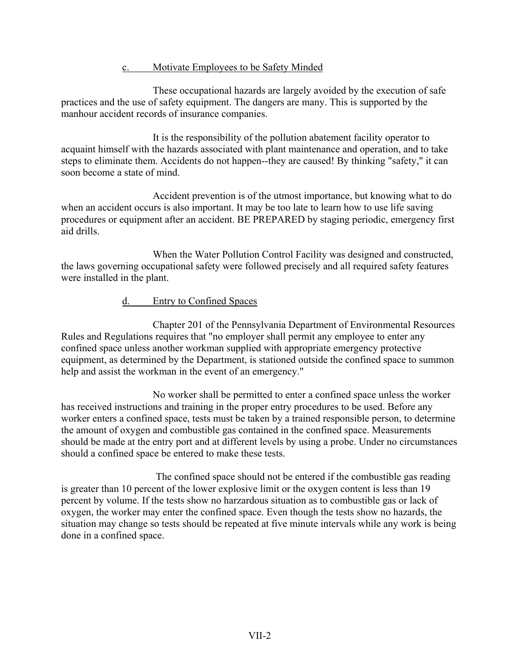### c. Motivate Employees to be Safety Minded

These occupational hazards are largely avoided by the execution of safe practices and the use of safety equipment. The dangers are many. This is supported by the manhour accident records of insurance companies.

It is the responsibility of the pollution abatement facility operator to acquaint himself with the hazards associated with plant maintenance and operation, and to take steps to eliminate them. Accidents do not happen--they are caused! By thinking "safety," it can soon become a state of mind.

Accident prevention is of the utmost importance, but knowing what to do when an accident occurs is also important. It may be too late to learn how to use life saving procedures or equipment after an accident. BE PREPARED by staging periodic, emergency first aid drills.

When the Water Pollution Control Facility was designed and constructed, the laws governing occupational safety were followed precisely and all required safety features were installed in the plant.

## d. Entry to Confined Spaces

Chapter 201 of the Pennsylvania Department of Environmental Resources Rules and Regulations requires that "no employer shall permit any employee to enter any confined space unless another workman supplied with appropriate emergency protective equipment, as determined by the Department, is stationed outside the confined space to summon help and assist the workman in the event of an emergency."

No worker shall be permitted to enter a confined space unless the worker has received instructions and training in the proper entry procedures to be used. Before any worker enters a confined space, tests must be taken by a trained responsible person, to determine the amount of oxygen and combustible gas contained in the confined space. Measurements should be made at the entry port and at different levels by using a probe. Under no circumstances should a confined space be entered to make these tests.

The confined space should not be entered if the combustible gas reading is greater than 10 percent of the lower explosive limit or the oxygen content is less than 19 percent by volume. If the tests show no harzardous situation as to combustible gas or lack of oxygen, the worker may enter the confined space. Even though the tests show no hazards, the situation may change so tests should be repeated at five minute intervals while any work is being done in a confined space.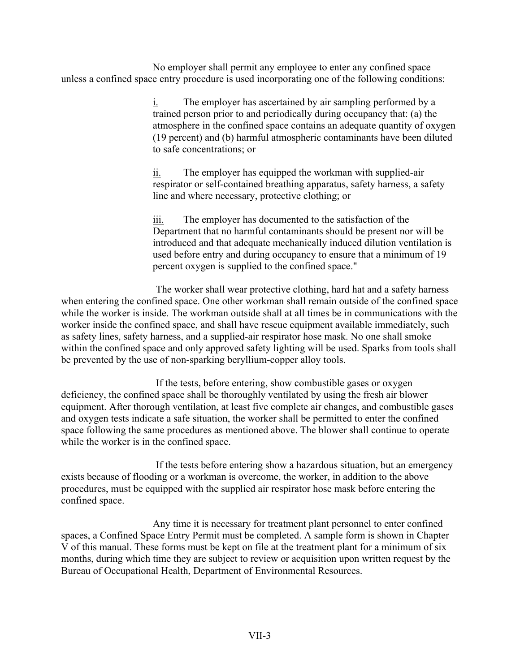No employer shall permit any employee to enter any confined space unless a confined space entry procedure is used incorporating one of the following conditions:

> $i$ . The employer has ascertained by air sampling performed by a trained person prior to and periodically during occupancy that: (a) the atmosphere in the confined space contains an adequate quantity of oxygen (19 percent) and (b) harmful atmospheric contaminants have been diluted to safe concentrations; or

ii. The employer has equipped the workman with supplied-air respirator or self-contained breathing apparatus, safety harness, a safety line and where necessary, protective clothing; or

iii. The employer has documented to the satisfaction of the Department that no harmful contaminants should be present nor will be introduced and that adequate mechanically induced dilution ventilation is used before entry and during occupancy to ensure that a minimum of 19 percent oxygen is supplied to the confined space."

The worker shall wear protective clothing, hard hat and a safety harness when entering the confined space. One other workman shall remain outside of the confined space while the worker is inside. The workman outside shall at all times be in communications with the worker inside the confined space, and shall have rescue equipment available immediately, such as safety lines, safety harness, and a supplied-air respirator hose mask. No one shall smoke within the confined space and only approved safety lighting will be used. Sparks from tools shall be prevented by the use of non-sparking beryllium-copper alloy tools.

If the tests, before entering, show combustible gases or oxygen deficiency, the confined space shall be thoroughly ventilated by using the fresh air blower equipment. After thorough ventilation, at least five complete air changes, and combustible gases and oxygen tests indicate a safe situation, the worker shall be permitted to enter the confined space following the same procedures as mentioned above. The blower shall continue to operate while the worker is in the confined space.

If the tests before entering show a hazardous situation, but an emergency exists because of flooding or a workman is overcome, the worker, in addition to the above procedures, must be equipped with the supplied air respirator hose mask before entering the confined space.

Any time it is necessary for treatment plant personnel to enter confined spaces, a Confined Space Entry Permit must be completed. A sample form is shown in Chapter V of this manual. These forms must be kept on file at the treatment plant for a minimum of six months, during which time they are subject to review or acquisition upon written request by the Bureau of Occupational Health, Department of Environmental Resources.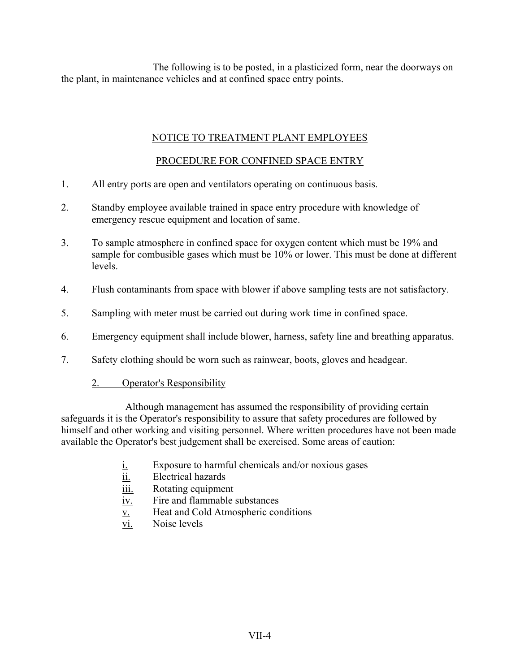The following is to be posted, in a plasticized form, near the doorways on the plant, in maintenance vehicles and at confined space entry points.

# NOTICE TO TREATMENT PLANT EMPLOYEES

## PROCEDURE FOR CONFINED SPACE ENTRY

- 1. All entry ports are open and ventilators operating on continuous basis.
- 2. Standby employee available trained in space entry procedure with knowledge of emergency rescue equipment and location of same.
- 3. To sample atmosphere in confined space for oxygen content which must be 19% and sample for combusible gases which must be 10% or lower. This must be done at different levels.
- 4. Flush contaminants from space with blower if above sampling tests are not satisfactory.
- 5. Sampling with meter must be carried out during work time in confined space.
- 6. Emergency equipment shall include blower, harness, safety line and breathing apparatus.
- 7. Safety clothing should be worn such as rainwear, boots, gloves and headgear.

## 2. Operator's Responsibility

Although management has assumed the responsibility of providing certain safeguards it is the Operator's responsibility to assure that safety procedures are followed by himself and other working and visiting personnel. Where written procedures have not been made available the Operator's best judgement shall be exercised. Some areas of caution:

- $\underline{i}$ . Exposure to harmful chemicals and/or noxious gases<br>ii. Electrical hazards
- Electrical hazards
- iii. Rotating equipment
- iv. Fire and flammable substances
- v. Heat and Cold Atmospheric conditions
- vi. Noise levels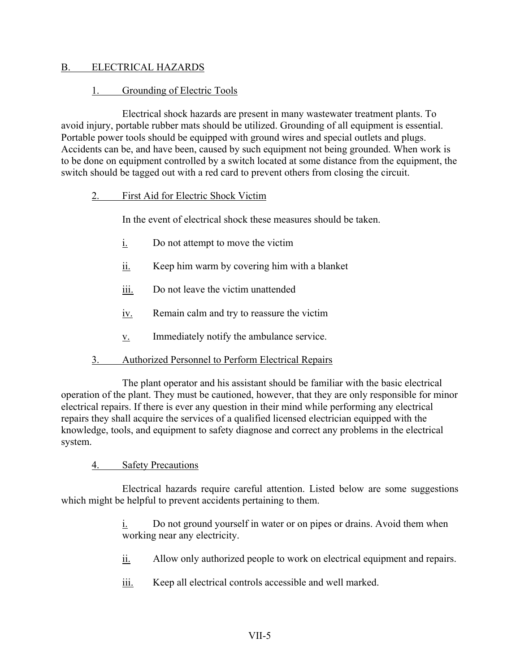### B. ELECTRICAL HAZARDS

### 1. Grounding of Electric Tools

Electrical shock hazards are present in many wastewater treatment plants. To avoid injury, portable rubber mats should be utilized. Grounding of all equipment is essential. Portable power tools should be equipped with ground wires and special outlets and plugs. Accidents can be, and have been, caused by such equipment not being grounded. When work is to be done on equipment controlled by a switch located at some distance from the equipment, the switch should be tagged out with a red card to prevent others from closing the circuit.

### 2. First Aid for Electric Shock Victim

In the event of electrical shock these measures should be taken.

- i. Do not attempt to move the victim
- ii. Keep him warm by covering him with a blanket
- iii. Do not leave the victim unattended
- iv. Remain calm and try to reassure the victim
- v. Immediately notify the ambulance service.
- 3. Authorized Personnel to Perform Electrical Repairs

The plant operator and his assistant should be familiar with the basic electrical operation of the plant. They must be cautioned, however, that they are only responsible for minor electrical repairs. If there is ever any question in their mind while performing any electrical repairs they shall acquire the services of a qualified licensed electrician equipped with the knowledge, tools, and equipment to safety diagnose and correct any problems in the electrical system.

#### 4. Safety Precautions

Electrical hazards require careful attention. Listed below are some suggestions which might be helpful to prevent accidents pertaining to them.

> i. Do not ground yourself in water or on pipes or drains. Avoid them when working near any electricity.

- ii. Allow only authorized people to work on electrical equipment and repairs.
- iii. Keep all electrical controls accessible and well marked.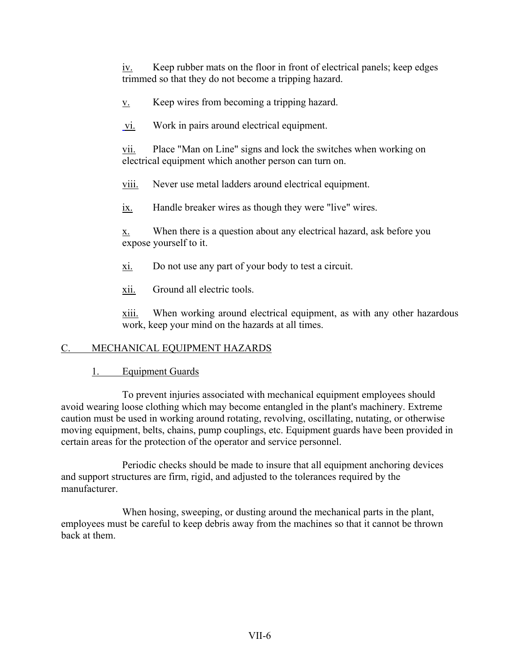iv. Keep rubber mats on the floor in front of electrical panels; keep edges trimmed so that they do not become a tripping hazard.

- $\underline{v}$ . Keep wires from becoming a tripping hazard.
- vi. Work in pairs around electrical equipment.

vii. Place "Man on Line" signs and lock the switches when working on electrical equipment which another person can turn on.

viii. Never use metal ladders around electrical equipment.

ix. Handle breaker wires as though they were "live" wires.

x. When there is a question about any electrical hazard, ask before you expose yourself to it.

- xi. Do not use any part of your body to test a circuit.
- xii. Ground all electric tools.

xiii. When working around electrical equipment, as with any other hazardous work, keep your mind on the hazards at all times.

# C. MECHANICAL EQUIPMENT HAZARDS

## 1. Equipment Guards

To prevent injuries associated with mechanical equipment employees should avoid wearing loose clothing which may become entangled in the plant's machinery. Extreme caution must be used in working around rotating, revolving, oscillating, nutating, or otherwise moving equipment, belts, chains, pump couplings, etc. Equipment guards have been provided in certain areas for the protection of the operator and service personnel.

Periodic checks should be made to insure that all equipment anchoring devices and support structures are firm, rigid, and adjusted to the tolerances required by the manufacturer.

When hosing, sweeping, or dusting around the mechanical parts in the plant, employees must be careful to keep debris away from the machines so that it cannot be thrown back at them.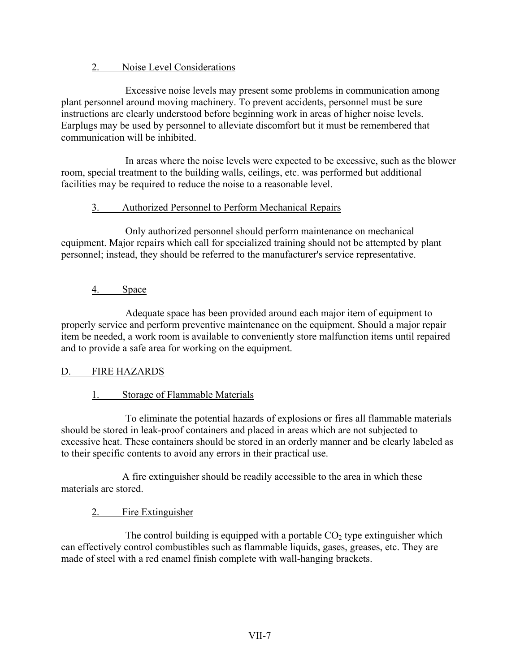## 2. Noise Level Considerations

Excessive noise levels may present some problems in communication among plant personnel around moving machinery. To prevent accidents, personnel must be sure instructions are clearly understood before beginning work in areas of higher noise levels. Earplugs may be used by personnel to alleviate discomfort but it must be remembered that communication will be inhibited.

In areas where the noise levels were expected to be excessive, such as the blower room, special treatment to the building walls, ceilings, etc. was performed but additional facilities may be required to reduce the noise to a reasonable level.

# 3. Authorized Personnel to Perform Mechanical Repairs

Only authorized personnel should perform maintenance on mechanical equipment. Major repairs which call for specialized training should not be attempted by plant personnel; instead, they should be referred to the manufacturer's service representative.

## 4. Space

Adequate space has been provided around each major item of equipment to properly service and perform preventive maintenance on the equipment. Should a major repair item be needed, a work room is available to conveniently store malfunction items until repaired and to provide a safe area for working on the equipment.

## D. FIRE HAZARDS

# 1. Storage of Flammable Materials

To eliminate the potential hazards of explosions or fires all flammable materials should be stored in leak-proof containers and placed in areas which are not subjected to excessive heat. These containers should be stored in an orderly manner and be clearly labeled as to their specific contents to avoid any errors in their practical use.

A fire extinguisher should be readily accessible to the area in which these materials are stored.

# 2. Fire Extinguisher

The control building is equipped with a portable  $CO<sub>2</sub>$  type extinguisher which can effectively control combustibles such as flammable liquids, gases, greases, etc. They are made of steel with a red enamel finish complete with wall-hanging brackets.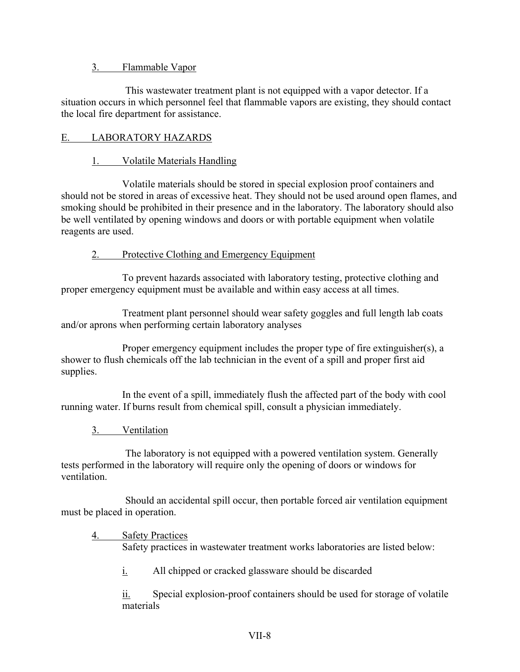### 3. Flammable Vapor

This wastewater treatment plant is not equipped with a vapor detector. If a situation occurs in which personnel feel that flammable vapors are existing, they should contact the local fire department for assistance.

## E. LABORATORY HAZARDS

## 1. Volatile Materials Handling

Volatile materials should be stored in special explosion proof containers and should not be stored in areas of excessive heat. They should not be used around open flames, and smoking should be prohibited in their presence and in the laboratory. The laboratory should also be well ventilated by opening windows and doors or with portable equipment when volatile reagents are used.

## 2. Protective Clothing and Emergency Equipment

To prevent hazards associated with laboratory testing, protective clothing and proper emergency equipment must be available and within easy access at all times.

Treatment plant personnel should wear safety goggles and full length lab coats and/or aprons when performing certain laboratory analyses

Proper emergency equipment includes the proper type of fire extinguisher(s), a shower to flush chemicals off the lab technician in the event of a spill and proper first aid supplies.

In the event of a spill, immediately flush the affected part of the body with cool running water. If burns result from chemical spill, consult a physician immediately.

3. Ventilation

The laboratory is not equipped with a powered ventilation system. Generally tests performed in the laboratory will require only the opening of doors or windows for ventilation.

Should an accidental spill occur, then portable forced air ventilation equipment must be placed in operation.

4. Safety Practices Safety practices in wastewater treatment works laboratories are listed below:

i. All chipped or cracked glassware should be discarded

ii. Special explosion-proof containers should be used for storage of volatile materials